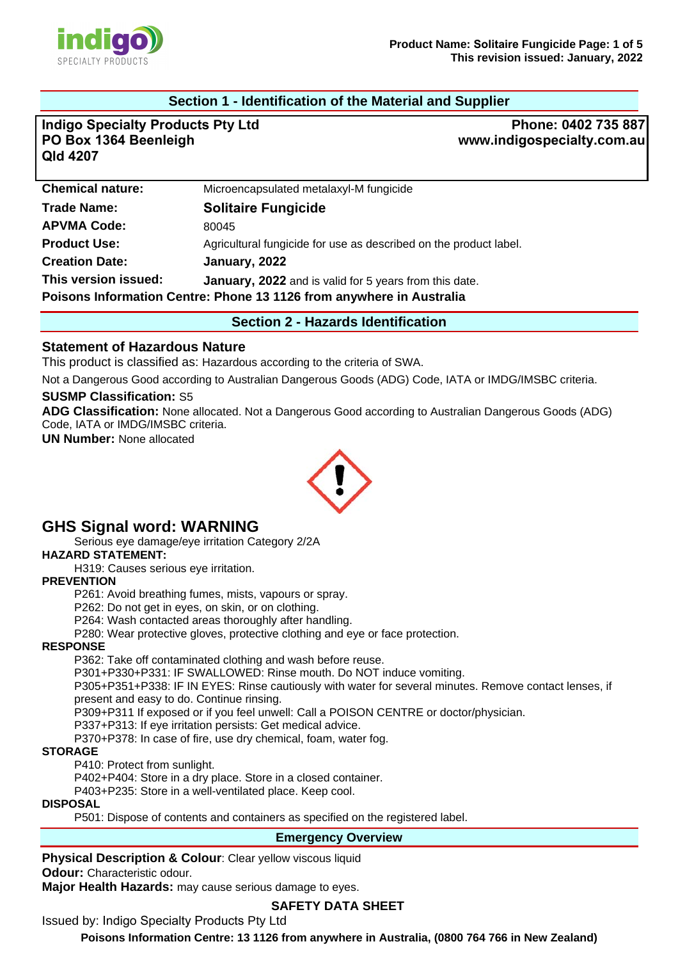

## **Section 1 - Identification of the Material and Supplier**

**Indigo Specialty Products Pty Ltd PO Box 1364 Beenleigh Qld 4207**

**Phone: 0402 735 887 www.indigospecialty.com.au**

| <b>Chemical nature:</b>                                              | Microencapsulated metalaxyl-M fungicide                           |  |
|----------------------------------------------------------------------|-------------------------------------------------------------------|--|
| <b>Trade Name:</b>                                                   | <b>Solitaire Fungicide</b>                                        |  |
| <b>APVMA Code:</b>                                                   | 80045                                                             |  |
| <b>Product Use:</b>                                                  | Agricultural fungicide for use as described on the product label. |  |
| <b>Creation Date:</b>                                                | January, 2022                                                     |  |
| This version issued:                                                 | January, 2022 and is valid for 5 years from this date.            |  |
| Poisons Information Centre: Phone 13 1126 from anywhere in Australia |                                                                   |  |
|                                                                      |                                                                   |  |

**Section 2 - Hazards Identification** 

#### **Statement of Hazardous Nature**

This product is classified as: Hazardous according to the criteria of SWA.

Not a Dangerous Good according to Australian Dangerous Goods (ADG) Code, IATA or IMDG/IMSBC criteria.

#### **SUSMP Classification:** S5

**ADG Classification:** None allocated. Not a Dangerous Good according to Australian Dangerous Goods (ADG) Code, IATA or IMDG/IMSBC criteria.

**UN Number:** None allocated



# **GHS Signal word: WARNING**

Serious eye damage/eye irritation Category 2/2A

**HAZARD STATEMENT:** 

H319: Causes serious eye irritation.

#### **PREVENTION**

P261: Avoid breathing fumes, mists, vapours or spray.

P262: Do not get in eyes, on skin, or on clothing.

P264: Wash contacted areas thoroughly after handling.

P280: Wear protective gloves, protective clothing and eye or face protection.

#### **RESPONSE**

P362: Take off contaminated clothing and wash before reuse.

P301+P330+P331: IF SWALLOWED: Rinse mouth. Do NOT induce vomiting.

P305+P351+P338: IF IN EYES: Rinse cautiously with water for several minutes. Remove contact lenses, if present and easy to do. Continue rinsing.

P309+P311 If exposed or if you feel unwell: Call a POISON CENTRE or doctor/physician.

P337+P313: If eye irritation persists: Get medical advice.

P370+P378: In case of fire, use dry chemical, foam, water fog.

#### **STORAGE**

P410: Protect from sunlight.

P402+P404: Store in a dry place. Store in a closed container.

P403+P235: Store in a well-ventilated place. Keep cool.

## **DISPOSAL**

P501: Dispose of contents and containers as specified on the registered label.

#### **Emergency Overview**

**Physical Description & Colour: Clear yellow viscous liquid** 

**Odour:** Characteristic odour.

**Major Health Hazards:** may cause serious damage to eyes.

## **SAFETY DATA SHEET**

Issued by: Indigo Specialty Products Pty Ltd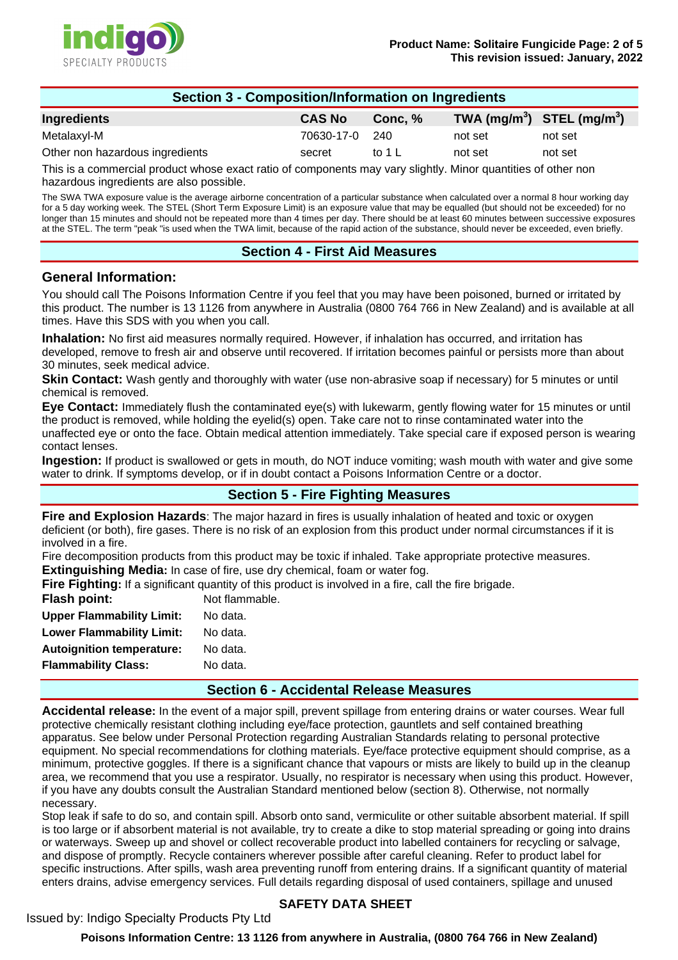

| <b>Section 3 - Composition/Information on Ingredients</b> |               |         |                                |         |  |
|-----------------------------------------------------------|---------------|---------|--------------------------------|---------|--|
| Ingredients                                               | <b>CAS No</b> | Conc. % | TWA $(mg/m^3)$ STEL $(mg/m^3)$ |         |  |
| Metalaxyl-M                                               | 70630-17-0    | -240    | not set                        | not set |  |
| Other non hazardous ingredients                           | secret        | to 1 L  | not set                        | not set |  |

This is a commercial product whose exact ratio of components may vary slightly. Minor quantities of other non hazardous ingredients are also possible.

The SWA TWA exposure value is the average airborne concentration of a particular substance when calculated over a normal 8 hour working day for a 5 day working week. The STEL (Short Term Exposure Limit) is an exposure value that may be equalled (but should not be exceeded) for no longer than 15 minutes and should not be repeated more than 4 times per day. There should be at least 60 minutes between successive exposures at the STEL. The term "peak "is used when the TWA limit, because of the rapid action of the substance, should never be exceeded, even briefly.

## **Section 4 - First Aid Measures**

#### **General Information:**

You should call The Poisons Information Centre if you feel that you may have been poisoned, burned or irritated by this product. The number is 13 1126 from anywhere in Australia (0800 764 766 in New Zealand) and is available at all times. Have this SDS with you when you call.

**Inhalation:** No first aid measures normally required. However, if inhalation has occurred, and irritation has developed, remove to fresh air and observe until recovered. If irritation becomes painful or persists more than about 30 minutes, seek medical advice.

**Skin Contact:** Wash gently and thoroughly with water (use non-abrasive soap if necessary) for 5 minutes or until chemical is removed.

**Eye Contact:** Immediately flush the contaminated eye(s) with lukewarm, gently flowing water for 15 minutes or until the product is removed, while holding the eyelid(s) open. Take care not to rinse contaminated water into the unaffected eye or onto the face. Obtain medical attention immediately. Take special care if exposed person is wearing contact lenses.

**Ingestion:** If product is swallowed or gets in mouth, do NOT induce vomiting; wash mouth with water and give some water to drink. If symptoms develop, or if in doubt contact a Poisons Information Centre or a doctor.

# **Section 5 - Fire Fighting Measures**

**Fire and Explosion Hazards**: The major hazard in fires is usually inhalation of heated and toxic or oxygen deficient (or both), fire gases. There is no risk of an explosion from this product under normal circumstances if it is involved in a fire.

Fire decomposition products from this product may be toxic if inhaled. Take appropriate protective measures. **Extinguishing Media:** In case of fire, use dry chemical, foam or water fog.

Fire Fighting: If a significant quantity of this product is involved in a fire, call the fire brigade.

| <b>Flash point:</b>              | Not flammable. |
|----------------------------------|----------------|
| <b>Upper Flammability Limit:</b> | No data.       |
| <b>Lower Flammability Limit:</b> | No data.       |
| <b>Autoignition temperature:</b> | No data.       |
| <b>Flammability Class:</b>       | No data.       |
|                                  |                |

#### **Section 6 - Accidental Release Measures**

**Accidental release:** In the event of a major spill, prevent spillage from entering drains or water courses. Wear full protective chemically resistant clothing including eye/face protection, gauntlets and self contained breathing apparatus. See below under Personal Protection regarding Australian Standards relating to personal protective equipment. No special recommendations for clothing materials. Eye/face protective equipment should comprise, as a minimum, protective goggles. If there is a significant chance that vapours or mists are likely to build up in the cleanup area, we recommend that you use a respirator. Usually, no respirator is necessary when using this product. However, if you have any doubts consult the Australian Standard mentioned below (section 8). Otherwise, not normally necessary.

Stop leak if safe to do so, and contain spill. Absorb onto sand, vermiculite or other suitable absorbent material. If spill is too large or if absorbent material is not available, try to create a dike to stop material spreading or going into drains or waterways. Sweep up and shovel or collect recoverable product into labelled containers for recycling or salvage, and dispose of promptly. Recycle containers wherever possible after careful cleaning. Refer to product label for specific instructions. After spills, wash area preventing runoff from entering drains. If a significant quantity of material enters drains, advise emergency services. Full details regarding disposal of used containers, spillage and unused

# **SAFETY DATA SHEET**

#### Issued by: Indigo Specialty Products Pty Ltd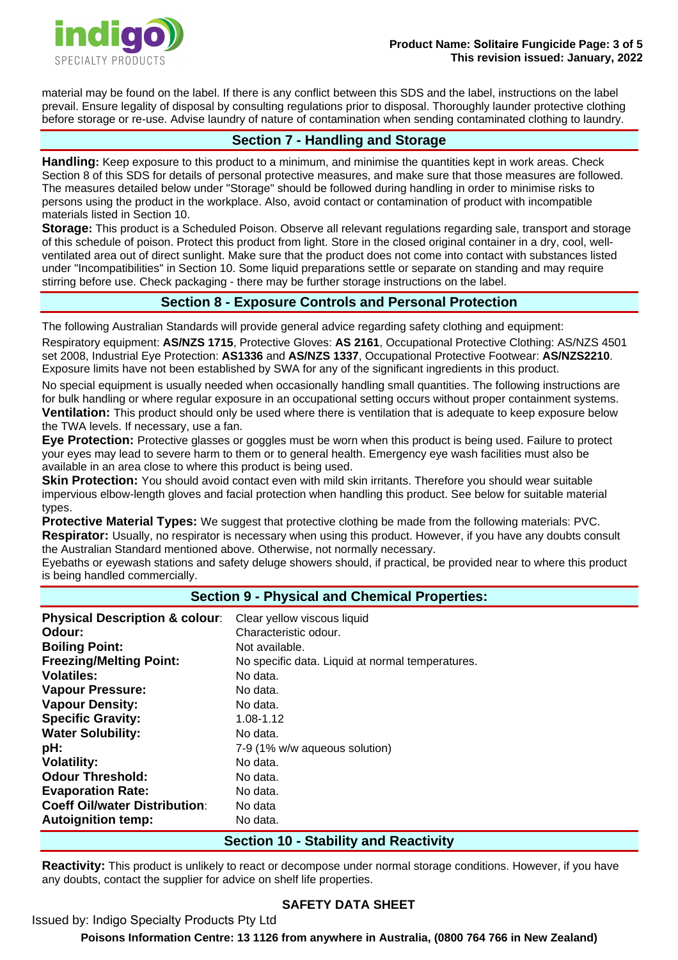

material may be found on the label. If there is any conflict between this SDS and the label, instructions on the label prevail. Ensure legality of disposal by consulting regulations prior to disposal. Thoroughly launder protective clothing before storage or re-use. Advise laundry of nature of contamination when sending contaminated clothing to laundry.

## **Section 7 - Handling and Storage**

**Handling:** Keep exposure to this product to a minimum, and minimise the quantities kept in work areas. Check Section 8 of this SDS for details of personal protective measures, and make sure that those measures are followed. The measures detailed below under "Storage" should be followed during handling in order to minimise risks to persons using the product in the workplace. Also, avoid contact or contamination of product with incompatible materials listed in Section 10.

**Storage:** This product is a Scheduled Poison. Observe all relevant regulations regarding sale, transport and storage of this schedule of poison. Protect this product from light. Store in the closed original container in a dry, cool, wellventilated area out of direct sunlight. Make sure that the product does not come into contact with substances listed under "Incompatibilities" in Section 10. Some liquid preparations settle or separate on standing and may require stirring before use. Check packaging - there may be further storage instructions on the label.

# **Section 8 - Exposure Controls and Personal Protection**

The following Australian Standards will provide general advice regarding safety clothing and equipment:

Respiratory equipment: **AS/NZS 1715**, Protective Gloves: **AS 2161**, Occupational Protective Clothing: AS/NZS 4501 set 2008, Industrial Eye Protection: **AS1336** and **AS/NZS 1337**, Occupational Protective Footwear: **AS/NZS2210**. Exposure limits have not been established by SWA for any of the significant ingredients in this product.

No special equipment is usually needed when occasionally handling small quantities. The following instructions are for bulk handling or where regular exposure in an occupational setting occurs without proper containment systems. **Ventilation:** This product should only be used where there is ventilation that is adequate to keep exposure below the TWA levels. If necessary, use a fan.

**Eye Protection:** Protective glasses or goggles must be worn when this product is being used. Failure to protect your eyes may lead to severe harm to them or to general health. Emergency eye wash facilities must also be available in an area close to where this product is being used.

**Skin Protection:** You should avoid contact even with mild skin irritants. Therefore you should wear suitable impervious elbow-length gloves and facial protection when handling this product. See below for suitable material types.

**Protective Material Types:** We suggest that protective clothing be made from the following materials: PVC. **Respirator:** Usually, no respirator is necessary when using this product. However, if you have any doubts consult the Australian Standard mentioned above. Otherwise, not normally necessary.

Eyebaths or eyewash stations and safety deluge showers should, if practical, be provided near to where this product is being handled commercially.

## **Section 9 - Physical and Chemical Properties:**

| <b>Physical Description &amp; colour:</b> | Clear yellow viscous liquid                      |
|-------------------------------------------|--------------------------------------------------|
| Odour:                                    | Characteristic odour.                            |
| <b>Boiling Point:</b>                     | Not available.                                   |
| <b>Freezing/Melting Point:</b>            | No specific data. Liquid at normal temperatures. |
| Volatiles:                                | No data.                                         |
| <b>Vapour Pressure:</b>                   | No data.                                         |
| <b>Vapour Density:</b>                    | No data.                                         |
| <b>Specific Gravity:</b>                  | 1.08-1.12                                        |
| <b>Water Solubility:</b>                  | No data.                                         |
| pH:                                       | 7-9 (1% w/w aqueous solution)                    |
| <b>Volatility:</b>                        | No data.                                         |
| <b>Odour Threshold:</b>                   | No data.                                         |
| <b>Evaporation Rate:</b>                  | No data.                                         |
| <b>Coeff Oil/water Distribution:</b>      | No data                                          |
| <b>Autoignition temp:</b>                 | No data.                                         |

## **Section 10 - Stability and Reactivity**

**Reactivity:** This product is unlikely to react or decompose under normal storage conditions. However, if you have any doubts, contact the supplier for advice on shelf life properties.

# **SAFETY DATA SHEET**

Issued by: Indigo Specialty Products Pty Ltd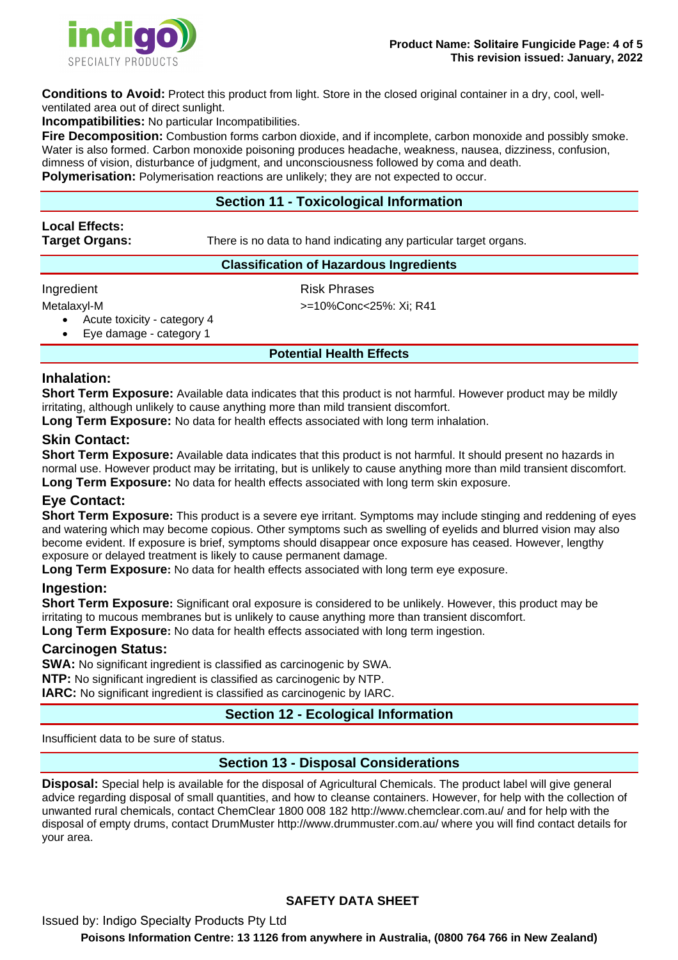

**Conditions to Avoid:** Protect this product from light. Store in the closed original container in a dry, cool, wellventilated area out of direct sunlight.

**Incompatibilities:** No particular Incompatibilities.

**Fire Decomposition:** Combustion forms carbon dioxide, and if incomplete, carbon monoxide and possibly smoke. Water is also formed. Carbon monoxide poisoning produces headache, weakness, nausea, dizziness, confusion, dimness of vision, disturbance of judgment, and unconsciousness followed by coma and death. **Polymerisation:** Polymerisation reactions are unlikely; they are not expected to occur.

# **Section 11 - Toxicological Information**

# **Local Effects:**

**Target Organs:** There is no data to hand indicating any particular target organs.

## **Classification of Hazardous Ingredients**

Ingredient **Risk Phrases** 

Metalaxyl-M  $> = 10\%$ Conc<25%: Xi; R41

• Acute toxicity - category 4

Eye damage - category 1

**Potential Health Effects** 

# **Inhalation:**

**Short Term Exposure:** Available data indicates that this product is not harmful. However product may be mildly irritating, although unlikely to cause anything more than mild transient discomfort.

**Long Term Exposure:** No data for health effects associated with long term inhalation.

# **Skin Contact:**

**Short Term Exposure:** Available data indicates that this product is not harmful. It should present no hazards in normal use. However product may be irritating, but is unlikely to cause anything more than mild transient discomfort. **Long Term Exposure:** No data for health effects associated with long term skin exposure.

# **Eye Contact:**

**Short Term Exposure:** This product is a severe eye irritant. Symptoms may include stinging and reddening of eyes and watering which may become copious. Other symptoms such as swelling of eyelids and blurred vision may also become evident. If exposure is brief, symptoms should disappear once exposure has ceased. However, lengthy exposure or delayed treatment is likely to cause permanent damage.

**Long Term Exposure:** No data for health effects associated with long term eye exposure.

# **Ingestion:**

**Short Term Exposure:** Significant oral exposure is considered to be unlikely. However, this product may be irritating to mucous membranes but is unlikely to cause anything more than transient discomfort. **Long Term Exposure:** No data for health effects associated with long term ingestion.

## **Carcinogen Status:**

**SWA:** No significant ingredient is classified as carcinogenic by SWA. **NTP:** No significant ingredient is classified as carcinogenic by NTP. **IARC:** No significant ingredient is classified as carcinogenic by IARC.

# **Section 12 - Ecological Information**

Insufficient data to be sure of status.

# **Section 13 - Disposal Considerations**

**Disposal:** Special help is available for the disposal of Agricultural Chemicals. The product label will give general advice regarding disposal of small quantities, and how to cleanse containers. However, for help with the collection of unwanted rural chemicals, contact ChemClear 1800 008 182 http://www.chemclear.com.au/ and for help with the disposal of empty drums, contact DrumMuster http://www.drummuster.com.au/ where you will find contact details for your area.

# **SAFETY DATA SHEET**

Issued by: Indigo Specialty Products Pty Ltd **Poisons Information Centre: 13 1126 from anywhere in Australia, (0800 764 766 in New Zealand)**